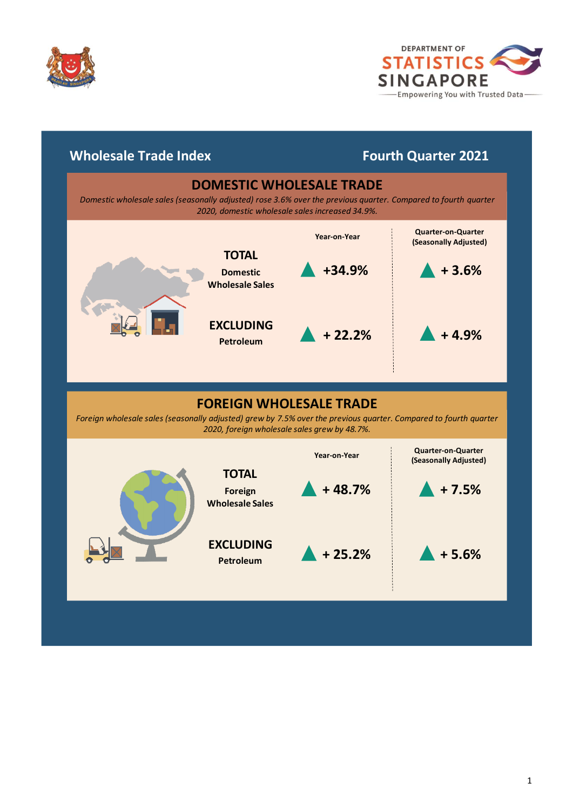



# **Wholesale Trade Index**

# **Fourth Quarter 2021**

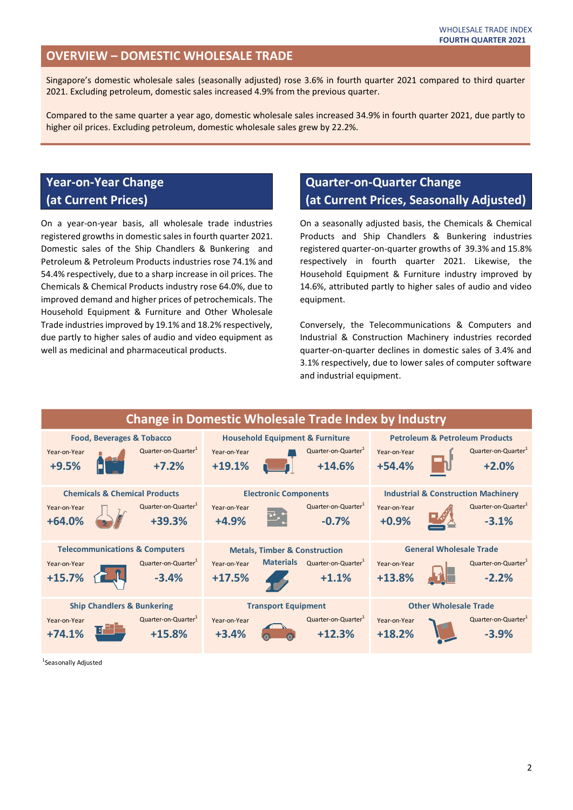#### **OVERVIEW – DOMESTIC WHOLESALE TRADE**

Singapore's domestic wholesale sales (seasonally adjusted) rose 3.6% in fourth quarter 2021 compared to third quarter 2021. Excluding petroleum, domestic sales increased 4.9% from the previous quarter.

Compared to the same quarter a year ago, domestic wholesale sales increased 34.9% in fourth quarter 2021, due partly to higher oil prices. Excluding petroleum, domestic wholesale sales grew by 22.2%.

## **Year-on-Year Change (at Current Prices)**

On a year-on-year basis, all wholesale trade industries registered growths in domestic sales in fourth quarter 2021. Domestic sales of the Ship Chandlers & Bunkering and Petroleum & Petroleum Products industries rose 74.1% and 54.4% respectively, due to a sharp increase in oil prices. The Chemicals & Chemical Products industry rose 64.0%, due to improved demand and higher prices of petrochemicals. The Household Equipment & Furniture and Other Wholesale Trade industries improved by 19.1% and 18.2% respectively, due partly to higher sales of audio and video equipment as well as medicinal and pharmaceutical products.

### **Quarter-on-Quarter Change (at Current Prices, Seasonally Adjusted)**

On a seasonally adjusted basis, the Chemicals & Chemical Products and Ship Chandlers & Bunkering industries registered quarter-on-quarter growths of 39.3% and 15.8% respectively in fourth quarter 2021. Likewise, the Household Equipment & Furniture industry improved by 14.6%, attributed partly to higher sales of audio and video equipment.

Conversely, the Telecommunications & Computers and Industrial & Construction Machinery industries recorded quarter-on-quarter declines in domestic sales of 3.4% and 3.1% respectively, due to lower sales of computer software and industrial equipment.



<sup>1</sup>Seasonally Adjusted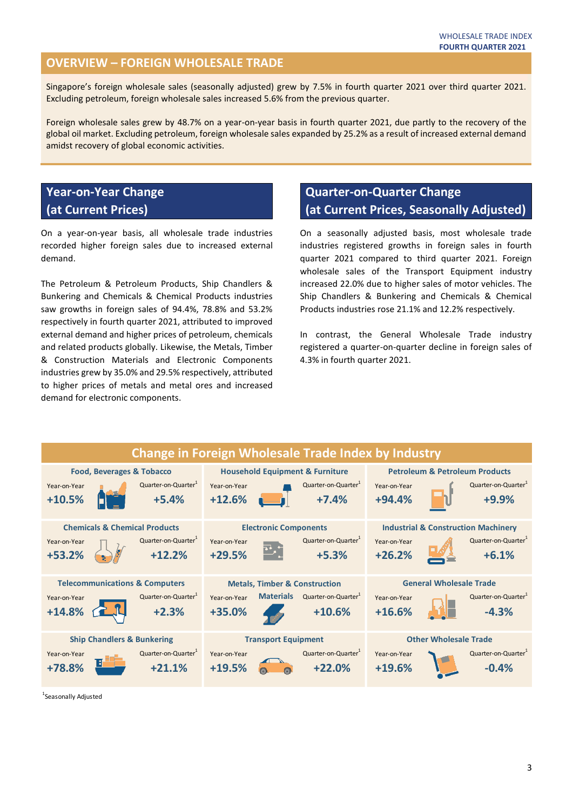### **OVERVIEW – FOREIGN WHOLESALE TRADE**

Singapore's foreign wholesale sales (seasonally adjusted) grew by 7.5% in fourth quarter 2021 over third quarter 2021. Excluding petroleum, foreign wholesale sales increased 5.6% from the previous quarter.

Foreign wholesale sales grew by 48.7% on a year-on-year basis in fourth quarter 2021, due partly to the recovery of the global oil market. Excluding petroleum, foreign wholesale sales expanded by 25.2% as a result of increased external demand amidst recovery of global economic activities.

### **Year-on-Year Change (at Current Prices)**

On a year-on-year basis, all wholesale trade industries recorded higher foreign sales due to increased external demand.

The Petroleum & Petroleum Products, Ship Chandlers & Bunkering and Chemicals & Chemical Products industries saw growths in foreign sales of 94.4%, 78.8% and 53.2% respectively in fourth quarter 2021, attributed to improved external demand and higher prices of petroleum, chemicals and related products globally. Likewise, the Metals, Timber & Construction Materials and Electronic Components industries grew by 35.0% and 29.5% respectively, attributed to higher prices of metals and metal ores and increased demand for electronic components.

## **Quarter-on-Quarter Change (at Current Prices, Seasonally Adjusted)**

On a seasonally adjusted basis, most wholesale trade industries registered growths in foreign sales in fourth quarter 2021 compared to third quarter 2021. Foreign wholesale sales of the Transport Equipment industry increased 22.0% due to higher sales of motor vehicles. The Ship Chandlers & Bunkering and Chemicals & Chemical Products industries rose 21.1% and 12.2% respectively.

In contrast, the General Wholesale Trade industry registered a quarter-on-quarter decline in foreign sales of 4.3% in fourth quarter 2021.



<sup>1</sup>Seasonally Adjusted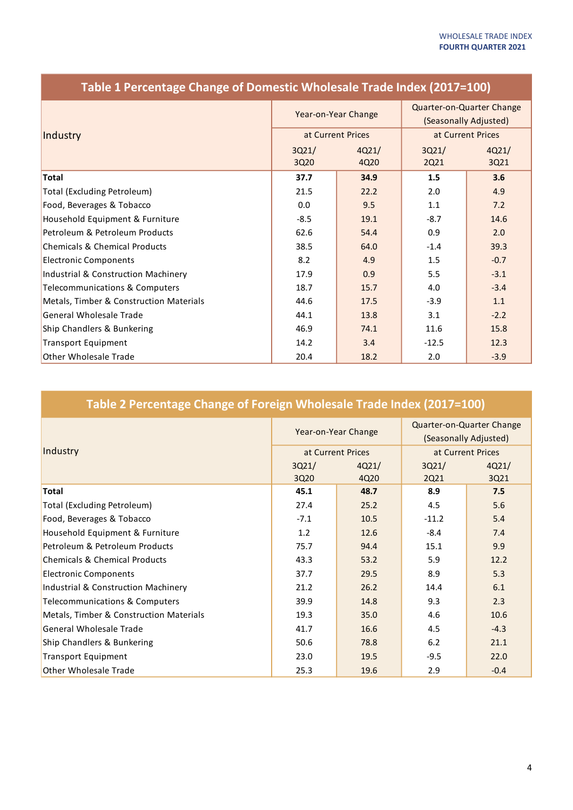| Industry                                       | Year-on-Year Change |       | Quarter-on-Quarter Change<br>(Seasonally Adjusted) |        |
|------------------------------------------------|---------------------|-------|----------------------------------------------------|--------|
|                                                | at Current Prices   |       | at Current Prices                                  |        |
|                                                | 3Q21/               | 4Q21/ | 3Q21/                                              | 4Q21/  |
|                                                | 3Q20                | 4Q20  | 2Q21                                               | 3Q21   |
| <b>Total</b>                                   | 37.7                | 34.9  | 1.5                                                | 3.6    |
| <b>Total (Excluding Petroleum)</b>             | 21.5                | 22.2  | 2.0                                                | 4.9    |
| Food, Beverages & Tobacco                      | 0.0                 | 9.5   | 1.1                                                | 7.2    |
| Household Equipment & Furniture                | $-8.5$              | 19.1  | $-8.7$                                             | 14.6   |
| Petroleum & Petroleum Products                 | 62.6                | 54.4  | 0.9                                                | 2.0    |
| <b>Chemicals &amp; Chemical Products</b>       | 38.5                | 64.0  | $-1.4$                                             | 39.3   |
| <b>Electronic Components</b>                   | 8.2                 | 4.9   | 1.5                                                | $-0.7$ |
| <b>Industrial &amp; Construction Machinery</b> | 17.9                | 0.9   | 5.5                                                | $-3.1$ |
| <b>Telecommunications &amp; Computers</b>      | 18.7                | 15.7  | 4.0                                                | $-3.4$ |
| Metals, Timber & Construction Materials        | 44.6                | 17.5  | $-3.9$                                             | 1.1    |
| <b>General Wholesale Trade</b>                 | 44.1                | 13.8  | 3.1                                                | $-2.2$ |
| Ship Chandlers & Bunkering                     | 46.9                | 74.1  | 11.6                                               | 15.8   |
| <b>Transport Equipment</b>                     | 14.2                | 3.4   | $-12.5$                                            | 12.3   |
| <b>Other Wholesale Trade</b>                   | 20.4                | 18.2  | 2.0                                                | $-3.9$ |

### **Table 1 Percentage Change of Domestic Wholesale Trade Index (2017=100)**

# **Table 2 Percentage Change of Foreign Wholesale Trade Index (2017=100)**

| Industry                                 | Year-on-Year Change |       | Quarter-on-Quarter Change<br>(Seasonally Adjusted) |        |
|------------------------------------------|---------------------|-------|----------------------------------------------------|--------|
|                                          | at Current Prices   |       | at Current Prices                                  |        |
|                                          | 3Q21/               | 4021/ | 3Q21/                                              | 4021/  |
|                                          | 3Q20                | 4Q20  | 2Q21                                               | 3Q21   |
| <b>Total</b>                             | 45.1                | 48.7  | 8.9                                                | 7.5    |
| Total (Excluding Petroleum)              | 27.4                | 25.2  | 4.5                                                | 5.6    |
| Food, Beverages & Tobacco                | $-7.1$              | 10.5  | $-11.2$                                            | 5.4    |
| Household Equipment & Furniture          | 1.2                 | 12.6  | $-8.4$                                             | 7.4    |
| Petroleum & Petroleum Products           | 75.7                | 94.4  | 15.1                                               | 9.9    |
| <b>Chemicals &amp; Chemical Products</b> | 43.3                | 53.2  | 5.9                                                | 12.2   |
| <b>Electronic Components</b>             | 37.7                | 29.5  | 8.9                                                | 5.3    |
| Industrial & Construction Machinery      | 21.2                | 26.2  | 14.4                                               | 6.1    |
| Telecommunications & Computers           | 39.9                | 14.8  | 9.3                                                | 2.3    |
| Metals, Timber & Construction Materials  | 19.3                | 35.0  | 4.6                                                | 10.6   |
| <b>General Wholesale Trade</b>           | 41.7                | 16.6  | 4.5                                                | $-4.3$ |
| Ship Chandlers & Bunkering               | 50.6                | 78.8  | 6.2                                                | 21.1   |
| <b>Transport Equipment</b>               | 23.0                | 19.5  | $-9.5$                                             | 22.0   |
| Other Wholesale Trade                    | 25.3                | 19.6  | 2.9                                                | $-0.4$ |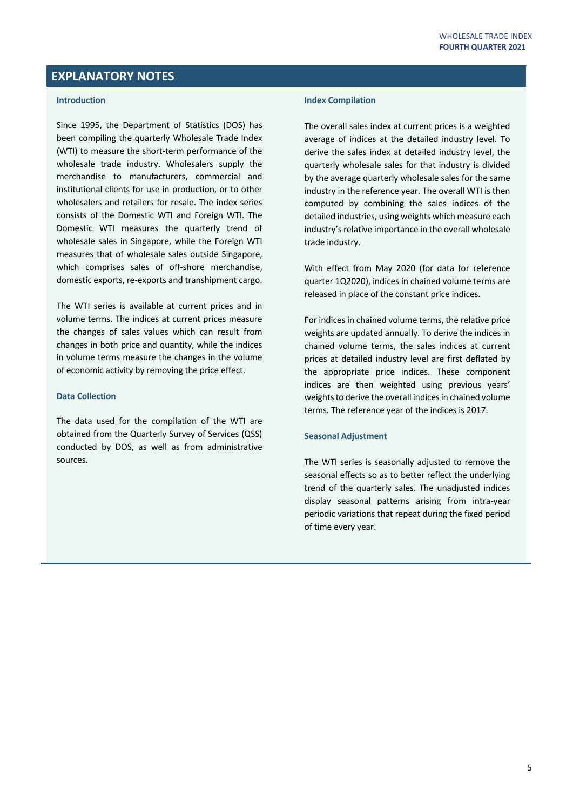#### **EXPLANATORY NOTES**

#### **Introduction**

Since 1995, the Department of Statistics (DOS) has been compiling the quarterly Wholesale Trade Index (WTI) to measure the short-term performance of the wholesale trade industry. Wholesalers supply the merchandise to manufacturers, commercial and institutional clients for use in production, or to other wholesalers and retailers for resale. The index series consists of the Domestic WTI and Foreign WTI. The Domestic WTI measures the quarterly trend of wholesale sales in Singapore, while the Foreign WTI measures that of wholesale sales outside Singapore, which comprises sales of off-shore merchandise, domestic exports, re-exports and transhipment cargo.

The WTI series is available at current prices and in volume terms. The indices at current prices measure the changes of sales values which can result from changes in both price and quantity, while the indices in volume terms measure the changes in the volume of economic activity by removing the price effect.

#### **Data Collection**

The data used for the compilation of the WTI are obtained from the Quarterly Survey of Services (QSS) conducted by DOS, as well as from administrative sources.

#### **Index Compilation**

The overall sales index at current prices is a weighted average of indices at the detailed industry level. To derive the sales index at detailed industry level, the quarterly wholesale sales for that industry is divided by the average quarterly wholesale sales for the same industry in the reference year. The overall WTI is then computed by combining the sales indices of the detailed industries, using weights which measure each industry's relative importance in the overall wholesale trade industry.

With effect from May 2020 (for data for reference quarter 1Q2020), indices in chained volume terms are released in place of the constant price indices.

For indices in chained volume terms, the relative price weights are updated annually. To derive the indices in chained volume terms, the sales indices at current prices at detailed industry level are first deflated by the appropriate price indices. These component indices are then weighted using previous years' weights to derive the overall indices in chained volume terms. The reference year of the indices is 2017.

#### **Seasonal Adjustment**

The WTI series is seasonally adjusted to remove the seasonal effects so as to better reflect the underlying trend of the quarterly sales. The unadjusted indices display seasonal patterns arising from intra-year periodic variations that repeat during the fixed period of time every year.